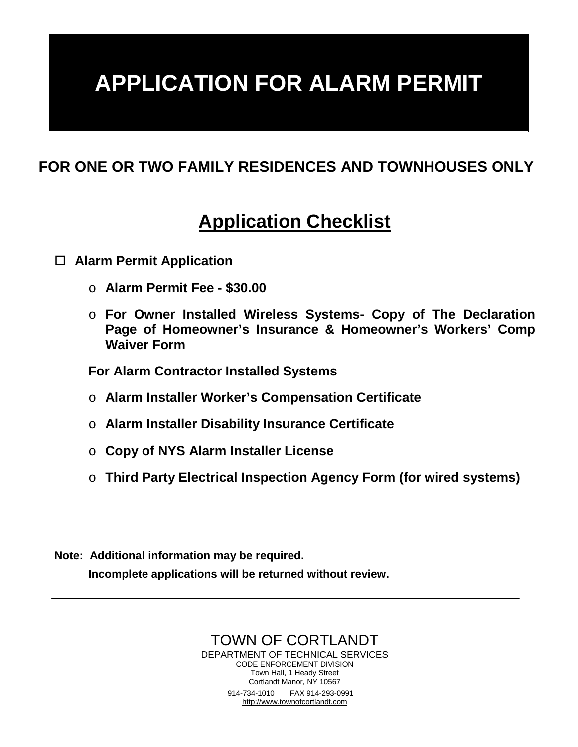# **APPLICATION FOR ALARM PERMIT**

## **FOR ONE OR TWO FAMILY RESIDENCES AND TOWNHOUSES ONLY**

## **Application Checklist**

#### **Alarm Permit Application**

- o **Alarm Permit Fee - \$30.00**
- o **For Owner Installed Wireless Systems- Copy of The Declaration Page of Homeowner's Insurance & Homeowner's Workers' Comp Waiver Form**

**For Alarm Contractor Installed Systems** 

- o **Alarm Installer Worker's Compensation Certificate**
- o **Alarm Installer Disability Insurance Certificate**
- o **Copy of NYS Alarm Installer License**
- o **Third Party Electrical Inspection Agency Form (for wired systems)**

**Note: Additional information may be required. Incomplete applications will be returned without review.**

> TOWN OF CORTLANDT DEPARTMENT OF TECHNICAL SERVICES CODE ENFORCEMENT DIVISION Town Hall, 1 Heady Street Cortlandt Manor, NY 10567 914-734-1010 FAX 914-293-0991 [http://www.townofcortlandt.com](http://www.townofcortlandt.com/)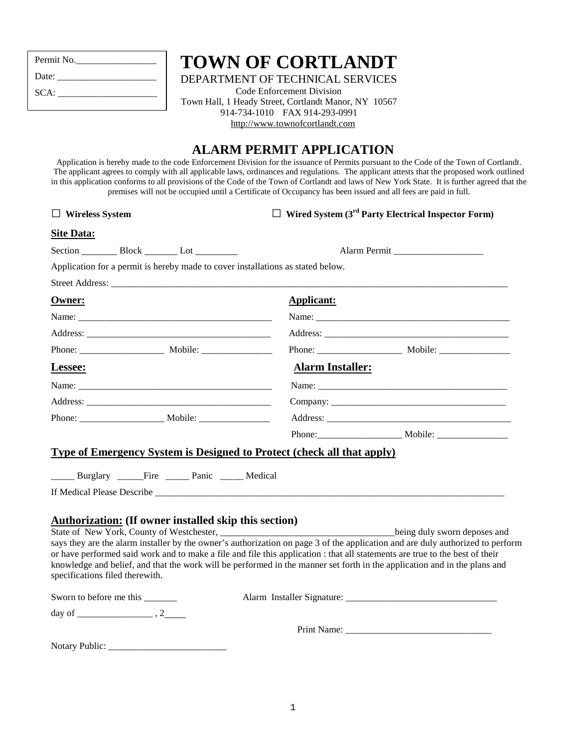| Permit No. |
|------------|
| Date:      |
| SCA:       |
|            |

## **TOWN OF CORTLANDT**

DEPARTMENT OF TECHNICAL SERVICES

Code Enforcement Division Town Hall, 1 Heady Street, Cortlandt Manor, NY 10567 914-734-1010 FAX 914-293-0991 [http://www.townofcortlandt.com](http://www.townofcortlandt.com/) 

### **ALARM PERMIT APPLICATION**

Application is hereby made to the code Enforcement Division for the issuance of Permits pursuant to the Code of the Town of Cortlandt. The applicant agrees to comply with all applicable laws, ordinances and regulations. The applicant attests that the proposed work outlined in this application conforms to all provisions of the Code of the Town of Cortlandt and laws of New York State. It is further agreed that the premises will not be occupied until a Certificate of Occupancy has been issued and all fees are paid in full.

#### □ **Wireless System** □ **Wired System (3rd Party Electrical Inspector Form)**

#### **Site Data:**

Section Block Lot Lot Alarm Permit

Application for a permit is hereby made to cover installations as stated below.

| Owner:  |                     | <b>Applicant:</b>       |  |
|---------|---------------------|-------------------------|--|
|         |                     |                         |  |
|         |                     |                         |  |
|         |                     |                         |  |
| Lessee: |                     | <b>Alarm Installer:</b> |  |
|         | Name: $\frac{1}{2}$ |                         |  |
|         |                     |                         |  |
|         |                     |                         |  |
|         |                     |                         |  |

#### **Type of Emergency System is Designed to Protect (check all that apply)**

\_\_\_\_\_ Burglary \_\_\_\_\_ Fire \_\_\_\_\_ Panic \_\_\_\_\_ Medical

If Medical Please Describe \_\_\_\_\_\_\_\_\_\_\_\_\_\_\_\_\_\_\_\_\_\_\_\_\_\_\_\_\_\_\_\_\_\_\_\_\_\_\_\_\_\_\_\_\_\_\_\_\_\_\_\_\_\_\_\_\_\_\_\_\_\_\_\_\_\_\_\_\_\_\_\_\_\_

#### **Authorization: (If owner installed skip this section)**

| State of New York, County of Westchester,                                                                                      | being duly sworn deposes and |
|--------------------------------------------------------------------------------------------------------------------------------|------------------------------|
| says they are the alarm installer by the owner's authorization on page 3 of the application and are duly authorized to perform |                              |
| or have performed said work and to make a file and file this application : that all statements are true to the best of their   |                              |
| knowledge and belief, and that the work will be performed in the manner set forth in the application and in the plans and      |                              |
| specifications filed therewith.                                                                                                |                              |
|                                                                                                                                |                              |

| Sworn to before me this | Alarm Installer Signature: |  |
|-------------------------|----------------------------|--|
| day of                  |                            |  |
|                         | Print Name:                |  |

| <b>Notary Public:</b> |  |
|-----------------------|--|
|-----------------------|--|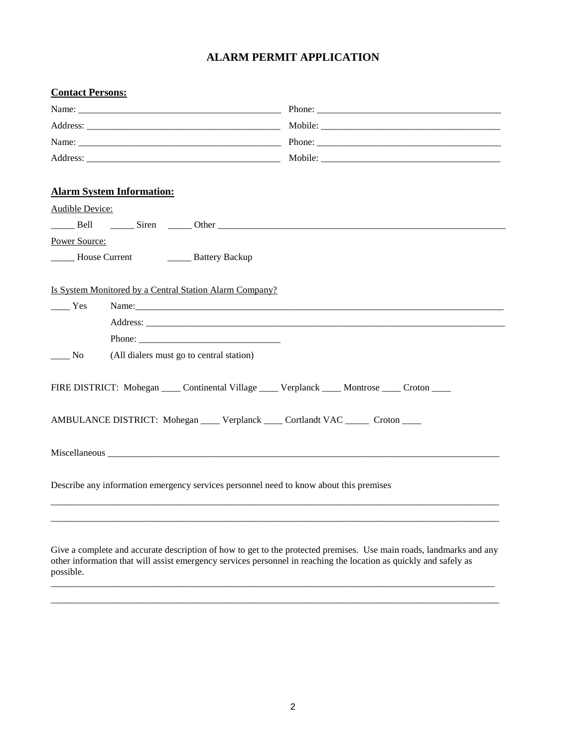#### **ALARM PERMIT APPLICATION**

| <b>Contact Persons:</b>             |                                                                                                    |  |  |
|-------------------------------------|----------------------------------------------------------------------------------------------------|--|--|
|                                     |                                                                                                    |  |  |
|                                     |                                                                                                    |  |  |
|                                     |                                                                                                    |  |  |
|                                     |                                                                                                    |  |  |
|                                     | <b>Alarm System Information:</b>                                                                   |  |  |
| Audible Device:                     |                                                                                                    |  |  |
|                                     | Bell <u>Siren</u> Other <u>Communication</u>                                                       |  |  |
| Power Source:                       |                                                                                                    |  |  |
|                                     | <b>EXECUTE:</b> House Current <b>EXECUTE:</b> Battery Backup                                       |  |  |
|                                     | Is System Monitored by a Central Station Alarm Company?                                            |  |  |
| $\frac{1}{1}$ Yes                   |                                                                                                    |  |  |
|                                     |                                                                                                    |  |  |
|                                     |                                                                                                    |  |  |
| $\frac{1}{\sqrt{1-\frac{1}{2}}}$ No | (All dialers must go to central station)                                                           |  |  |
|                                     | FIRE DISTRICT: Mohegan _____ Continental Village _____ Verplanck _____ Montrose _____ Croton _____ |  |  |
|                                     | AMBULANCE DISTRICT: Mohegan _____ Verplanck _____ Cortlandt VAC ______ Croton _____                |  |  |
|                                     |                                                                                                    |  |  |
|                                     | Describe any information emergency services personnel need to know about this premises             |  |  |
|                                     |                                                                                                    |  |  |

Give a complete and accurate description of how to get to the protected premises. Use main roads, landmarks and any other information that will assist emergency services personnel in reaching the location as quickly and safely as possible.

\_\_\_\_\_\_\_\_\_\_\_\_\_\_\_\_\_\_\_\_\_\_\_\_\_\_\_\_\_\_\_\_\_\_\_\_\_\_\_\_\_\_\_\_\_\_\_\_\_\_\_\_\_\_\_\_\_\_\_\_\_\_\_\_\_\_\_\_\_\_\_\_\_\_\_\_\_\_\_\_\_\_\_\_\_\_\_\_\_\_\_\_\_\_ \_\_\_\_\_\_\_\_\_\_\_\_\_\_\_\_\_\_\_\_\_\_\_\_\_\_\_\_\_\_\_\_\_\_\_\_\_\_\_\_\_\_\_\_\_\_\_\_\_\_\_\_\_\_\_\_\_\_\_\_\_\_\_\_\_\_\_\_\_\_\_\_\_\_\_\_\_\_\_\_\_\_\_\_\_\_\_\_\_\_\_\_\_\_\_